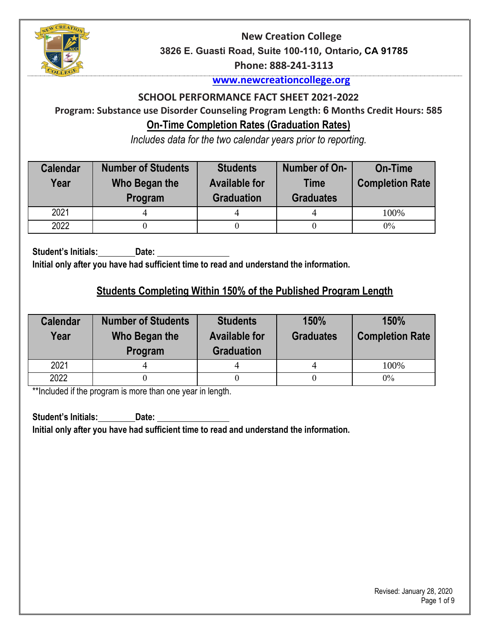

#### **[www.newcreationcollege.org](about:blank)**

#### **SCHOOL PERFORMANCE FACT SHEET 2021-2022**

# **Program: Substance use Disorder Counseling Program Length: 6 Months Credit Hours: 585 On-Time Completion Rates (Graduation Rates)**

*Includes data for the two calendar years prior to reporting.* 

| <b>Calendar</b><br>Year | <b>Number of Students</b><br>Who Began the<br>Program | <b>Students</b><br><b>Available for</b><br><b>Graduation</b> | Number of On-<br>Time<br><b>Graduates</b> | <b>On-Time</b><br><b>Completion Rate</b> |
|-------------------------|-------------------------------------------------------|--------------------------------------------------------------|-------------------------------------------|------------------------------------------|
| 2021                    |                                                       |                                                              |                                           | 100%                                     |
| 2022                    |                                                       |                                                              |                                           | $0\%$                                    |

**Student's Initials: Date:**

**Initial only after you have had sufficient time to read and understand the information.**

### **Students Completing Within 150% of the Published Program Length**

| <b>Calendar</b><br>Year | <b>Number of Students</b><br>Who Began the<br>Program | <b>Students</b><br><b>Available for</b><br><b>Graduation</b> | 150%<br><b>Graduates</b> | 150%<br><b>Completion Rate</b> |
|-------------------------|-------------------------------------------------------|--------------------------------------------------------------|--------------------------|--------------------------------|
| 2021                    |                                                       |                                                              |                          | 100%                           |
| 2022                    |                                                       |                                                              |                          | $0\%$                          |

\*\*Included if the program is more than one year in length.

**Student's Initials: Date: Initial only after you have had sufficient time to read and understand the information.**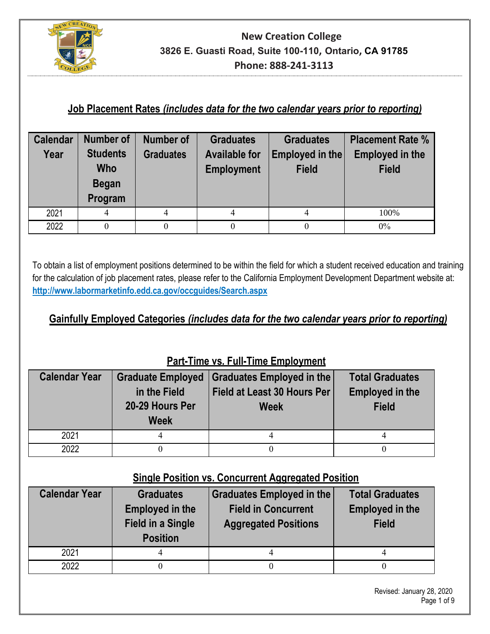

# **Job Placement Rates** *(includes data for the two calendar years prior to reporting)*

| <b>Calendar</b> | <b>Number of</b>                    | <b>Number of</b> | <b>Graduates</b>     | <b>Graduates</b> | <b>Placement Rate %</b> |  |
|-----------------|-------------------------------------|------------------|----------------------|------------------|-------------------------|--|
| Year            | <b>Students</b><br><b>Graduates</b> |                  | <b>Available for</b> | Employed in the  | <b>Employed in the</b>  |  |
|                 | Who                                 |                  | <b>Employment</b>    | <b>Field</b>     | <b>Field</b>            |  |
|                 | <b>Began</b>                        |                  |                      |                  |                         |  |
|                 | Program                             |                  |                      |                  |                         |  |
| 2021            | 4                                   | 4                | 4                    | 4                | 100%                    |  |
| 2022            | 0                                   |                  |                      |                  | $0\%$                   |  |

To obtain a list of employment positions determined to be within the field for which a student received education and training for the calculation of job placement rates, please refer to the California Employment Development Department website at: **http://www.labormarketinfo.edd.ca.gov/occguides/Search.aspx**

## **Gainfully Employed Categories** *(includes data for the two calendar years prior to reporting)*

| $\overline{a}$ are move various and move complex month |                          |                                    |                        |  |  |  |  |
|--------------------------------------------------------|--------------------------|------------------------------------|------------------------|--|--|--|--|
| <b>Calendar Year</b>                                   | <b>Graduate Employed</b> | Graduates Employed in the          | <b>Total Graduates</b> |  |  |  |  |
|                                                        | in the Field             | <b>Field at Least 30 Hours Per</b> |                        |  |  |  |  |
|                                                        | 20-29 Hours Per          | <b>Week</b>                        | <b>Field</b>           |  |  |  |  |
|                                                        | <b>Week</b>              |                                    |                        |  |  |  |  |
| 2021                                                   |                          | 4                                  |                        |  |  |  |  |
| 2022                                                   |                          |                                    |                        |  |  |  |  |

### **Part-Time vs. Full-Time Employment**

### **Single Position vs. Concurrent Aggregated Position**

| <b>Calendar Year</b> | <b>Graduates</b><br><b>Employed in the</b><br><b>Field in a Single</b><br><b>Position</b> | <b>Graduates Employed in the</b><br><b>Field in Concurrent</b><br><b>Aggregated Positions</b> | <b>Total Graduates</b><br><b>Employed in the</b><br><b>Field</b> |
|----------------------|-------------------------------------------------------------------------------------------|-----------------------------------------------------------------------------------------------|------------------------------------------------------------------|
| 2021                 |                                                                                           |                                                                                               |                                                                  |
| 2022                 |                                                                                           |                                                                                               |                                                                  |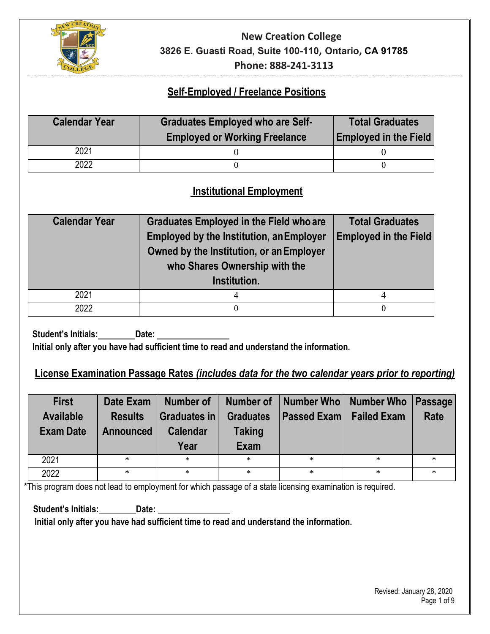

### **Self-Employed / Freelance Positions**

| <b>Calendar Year</b> | <b>Graduates Employed who are Self-</b><br><b>Employed or Working Freelance</b> | <b>Total Graduates</b><br><b>Employed in the Field</b> |  |
|----------------------|---------------------------------------------------------------------------------|--------------------------------------------------------|--|
| 2021                 |                                                                                 |                                                        |  |
| 2022                 |                                                                                 |                                                        |  |

### **Institutional Employment**

| <b>Calendar Year</b> | <b>Graduates Employed in the Field who are</b><br><b>Employed by the Institution, an Employer</b><br>Owned by the Institution, or an Employer<br>who Shares Ownership with the<br>Institution. | <b>Total Graduates</b><br><b>Employed in the Field</b> |
|----------------------|------------------------------------------------------------------------------------------------------------------------------------------------------------------------------------------------|--------------------------------------------------------|
| 2021                 | 4                                                                                                                                                                                              |                                                        |
| 2022                 | 0                                                                                                                                                                                              | $\Omega$                                               |

**Student's Initials: Date:**

**Initial only after you have had sufficient time to read and understand the information.**

### **License Examination Passage Rates** *(includes data for the two calendar years prior to reporting)*

| <b>First</b><br><b>Available</b><br><b>Exam Date</b> | Date Exam<br><b>Results</b><br><b>Announced</b> | Number of<br>Graduates in<br><b>Calendar</b><br>Year | Number of<br><b>Graduates</b><br><b>Taking</b><br><b>Exam</b> | Number Who   Number Who<br><b>Passed Exam</b> | <b>Failed Exam</b> | Passage<br><b>Rate</b> |
|------------------------------------------------------|-------------------------------------------------|------------------------------------------------------|---------------------------------------------------------------|-----------------------------------------------|--------------------|------------------------|
| 2021                                                 | $\ast$                                          | $\ast$                                               | $\ast$                                                        | $\ast$                                        | $\ast$             | $\ast$                 |
| 2022                                                 | $\ast$                                          | $\ast$                                               | $*$                                                           | $\ast$                                        | $\ast$             | $\ast$                 |

\*This program does not lead to employment for which passage of a state licensing examination is required.

**Student's Initials: Date:** 

**Initial only after you have had sufficient time to read and understand the information.**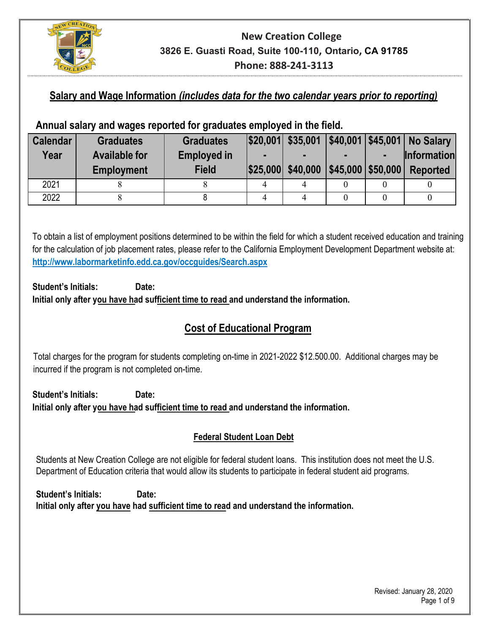

### **Salary and Wage Information** *(includes data for the two calendar years prior to reporting)*

### **Annual salary and wages reported for graduates employed in the field.**

| <b>Calendar</b> | <b>Graduates</b>     | <b>Graduates</b>   | $ $20,001 $ \$35,001 |                           | \$40,001   \$45,001   No Salary |
|-----------------|----------------------|--------------------|----------------------|---------------------------|---------------------------------|
| Year            | <b>Available for</b> | <b>Employed in</b> |                      |                           | <b>Information</b>              |
|                 | <b>Employment</b>    | <b>Field</b>       | \$25,000 \$40,000    | $ $45,000$ $ $50,000$ $ $ | <b>Reported</b>                 |
| 2021            |                      |                    |                      |                           |                                 |
| 2022            |                      |                    |                      |                           |                                 |

To obtain a list of employment positions determined to be within the field for which a student received education and training for the calculation of job placement rates, please refer to the California Employment Development Department website at: **http://www.labormarketinfo.edd.ca.gov/occguides/Search.aspx**

#### **Student's Initials: Date: Initial only after you have had sufficient time to read and understand the information.**

### **Cost of Educational Program**

Total charges for the program for students completing on-time in 2021-2022 \$12.500.00. Additional charges may be incurred if the program is not completed on-time.

**Student's Initials: Date: Initial only after you have had sufficient time to read and understand the information.** 

#### **Federal Student Loan Debt**

Students at New Creation College are not eligible for federal student loans. This institution does not meet the U.S. Department of Education criteria that would allow its students to participate in federal student aid programs.

**Student's Initials: Date: Initial only after you have had sufficient time to read and understand the information.**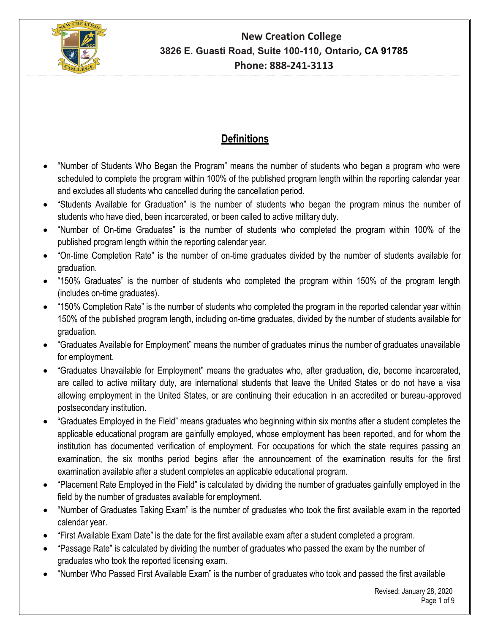

# **Definitions**

- "Number of Students Who Began the Program" means the number of students who began a program who were scheduled to complete the program within 100% of the published program length within the reporting calendar year and excludes all students who cancelled during the cancellation period.
- "Students Available for Graduation" is the number of students who began the program minus the number of students who have died, been incarcerated, or been called to active military duty.
- "Number of On-time Graduates" is the number of students who completed the program within 100% of the published program length within the reporting calendar year.
- "On-time Completion Rate" is the number of on-time graduates divided by the number of students available for graduation.
- "150% Graduates" is the number of students who completed the program within 150% of the program length (includes on-time graduates).
- "150% Completion Rate" is the number of students who completed the program in the reported calendar year within 150% of the published program length, including on-time graduates, divided by the number of students available for graduation.
- "Graduates Available for Employment" means the number of graduates minus the number of graduates unavailable for employment.
- "Graduates Unavailable for Employment" means the graduates who, after graduation, die, become incarcerated, are called to active military duty, are international students that leave the United States or do not have a visa allowing employment in the United States, or are continuing their education in an accredited or bureau-approved postsecondary institution.
- "Graduates Employed in the Field" means graduates who beginning within six months after a student completes the applicable educational program are gainfully employed, whose employment has been reported, and for whom the institution has documented verification of employment. For occupations for which the state requires passing an examination, the six months period begins after the announcement of the examination results for the first examination available after a student completes an applicable educational program.
- "Placement Rate Employed in the Field" is calculated by dividing the number of graduates gainfully employed in the field by the number of graduates available for employment.
- "Number of Graduates Taking Exam" is the number of graduates who took the first available exam in the reported calendar year.
- "First Available Exam Date" is the date for the first available exam after a student completed a program.
- "Passage Rate" is calculated by dividing the number of graduates who passed the exam by the number of graduates who took the reported licensing exam.
- "Number Who Passed First Available Exam" is the number of graduates who took and passed the first available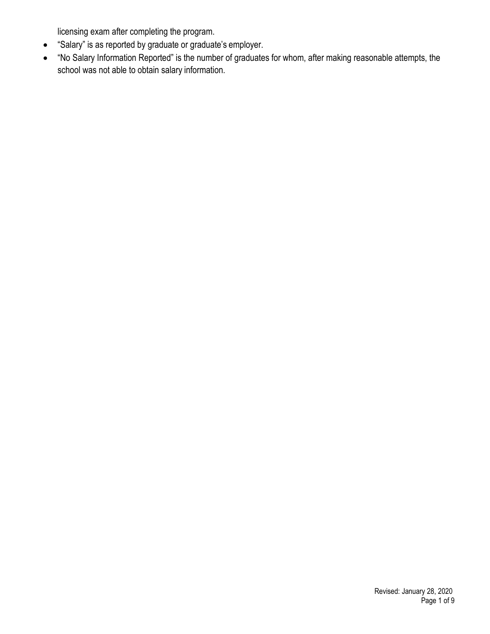licensing exam after completing the program.

- "Salary" is as reported by graduate or graduate's employer.
- "No Salary Information Reported" is the number of graduates for whom, after making reasonable attempts, the school was not able to obtain salary information.